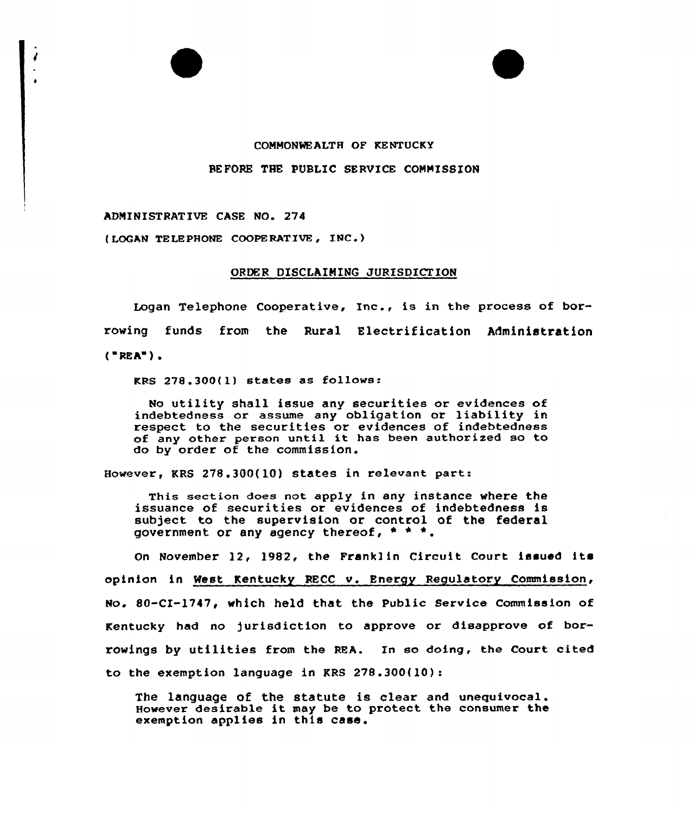## CONMONNEALTH OF KENTUCKY

## BEFORE THE PUBLIC SERVICE COMMISSION

ADMINISTRATIVE CASE NO. 274

(LOGAN TELEPHONE COOPERATIVE, INC.)

## ORDER DISCLAIMING JURISDICTION

Logan Telephone Cooperative, Inc., is in the process of borrowing funds from the Rural Electrification Administration  $("REA")$ .

 $RRS$  278.300(1) states as follows:

No utility shall issue any securities or evidences of indebtedness ox assume any obligation or liability in respect to the securities or evidences of indebtedness of any other person until it has been authorised so to do by order of the commission.

However, KRS 278.300(10) states in relevant part:

This section does not apply in any instance where the issuance of securities or evidences of indebtedness is subject to the supervision or control of the federal government or any agency thereof,  $* * *$ .

On November 12, 1982, the Franklin Circuit Court issued its opinion in West Kentucky RECC v. Energy Regulatory Commission, No. 80-CI-1747, which held that the Public Service Commission of Kentucky had no jurisdiction to approve or disapprove of borrowings by utilities from the REA. In so doing, the Court cited to the exemption language in KRS 278.300(10):

The language of the statute is clear and unequivocal. However desirable it may be to protect the consumer the exemption applies in this case.